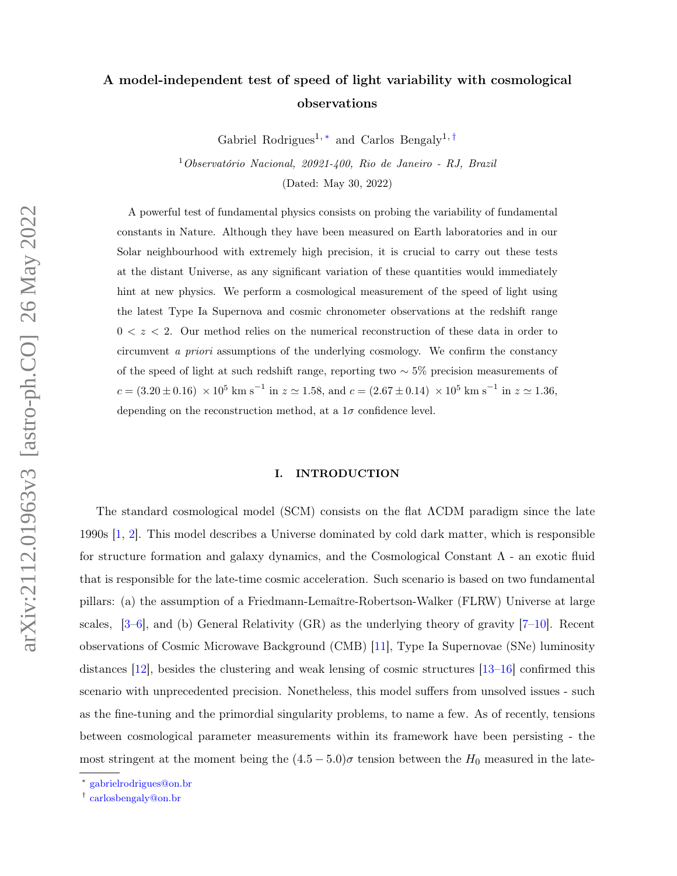# A model-independent test of speed of light variability with cosmological observations

Gabriel Rodrigues<sup>1, \*</sup> and Carlos Bengaly<sup>1, [†](#page-0-1)</sup>

<sup>1</sup>Observatório Nacional, 20921-400, Rio de Janeiro - RJ, Brazil (Dated: May 30, 2022)

A powerful test of fundamental physics consists on probing the variability of fundamental constants in Nature. Although they have been measured on Earth laboratories and in our Solar neighbourhood with extremely high precision, it is crucial to carry out these tests at the distant Universe, as any significant variation of these quantities would immediately hint at new physics. We perform a cosmological measurement of the speed of light using the latest Type Ia Supernova and cosmic chronometer observations at the redshift range  $0 < z < 2$ . Our method relies on the numerical reconstruction of these data in order to circumvent a priori assumptions of the underlying cosmology. We confirm the constancy of the speed of light at such redshift range, reporting two  $\sim$  5% precision measurements of  $c = (3.20 \pm 0.16) \times 10^5$  km s<sup>-1</sup> in  $z \approx 1.58$ , and  $c = (2.67 \pm 0.14) \times 10^5$  km s<sup>-1</sup> in  $z \approx 1.36$ , depending on the reconstruction method, at a  $1\sigma$  confidence level.

## I. INTRODUCTION

The standard cosmological model (SCM) consists on the flat ΛCDM paradigm since the late 1990s [\[1,](#page-7-0) [2\]](#page-7-1). This model describes a Universe dominated by cold dark matter, which is responsible for structure formation and galaxy dynamics, and the Cosmological Constant  $\Lambda$  - an exotic fluid that is responsible for the late-time cosmic acceleration. Such scenario is based on two fundamental pillars: (a) the assumption of a Friedmann-Lemaître-Robertson-Walker (FLRW) Universe at large scales,  $[3-6]$  $[3-6]$ , and (b) General Relativity (GR) as the underlying theory of gravity  $[7-10]$  $[7-10]$ . Recent observations of Cosmic Microwave Background (CMB) [\[11\]](#page-7-6), Type Ia Supernovae (SNe) luminosity distances [\[12\]](#page-7-7), besides the clustering and weak lensing of cosmic structures [\[13–](#page-7-8)[16\]](#page-8-0) confirmed this scenario with unprecedented precision. Nonetheless, this model suffers from unsolved issues - such as the fine-tuning and the primordial singularity problems, to name a few. As of recently, tensions between cosmological parameter measurements within its framework have been persisting - the most stringent at the moment being the  $(4.5-5.0)\sigma$  tension between the  $H_0$  measured in the late-

<span id="page-0-1"></span><span id="page-0-0"></span><sup>∗</sup> [gabrielrodrigues@on.br](mailto:gabrielrodrigues@on.br)

<sup>†</sup> [carlosbengaly@on.br](mailto:carlosbengaly@on.br)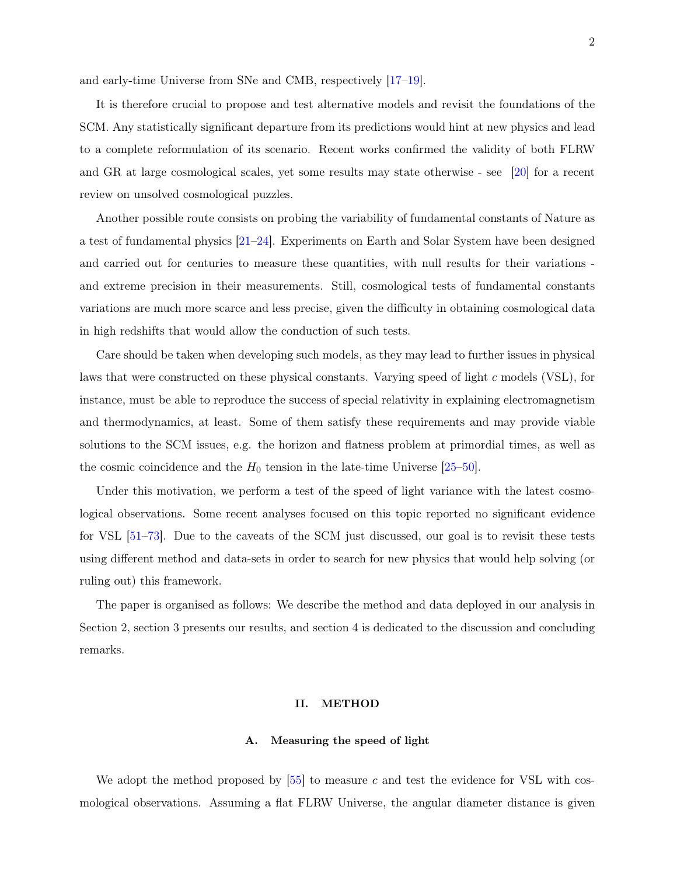and early-time Universe from SNe and CMB, respectively [\[17–](#page-8-1)[19\]](#page-8-2).

It is therefore crucial to propose and test alternative models and revisit the foundations of the SCM. Any statistically significant departure from its predictions would hint at new physics and lead to a complete reformulation of its scenario. Recent works confirmed the validity of both FLRW and GR at large cosmological scales, yet some results may state otherwise - see [\[20\]](#page-8-3) for a recent review on unsolved cosmological puzzles.

Another possible route consists on probing the variability of fundamental constants of Nature as a test of fundamental physics [\[21](#page-8-4)[–24\]](#page-8-5). Experiments on Earth and Solar System have been designed and carried out for centuries to measure these quantities, with null results for their variations and extreme precision in their measurements. Still, cosmological tests of fundamental constants variations are much more scarce and less precise, given the difficulty in obtaining cosmological data in high redshifts that would allow the conduction of such tests.

Care should be taken when developing such models, as they may lead to further issues in physical laws that were constructed on these physical constants. Varying speed of light c models (VSL), for instance, must be able to reproduce the success of special relativity in explaining electromagnetism and thermodynamics, at least. Some of them satisfy these requirements and may provide viable solutions to the SCM issues, e.g. the horizon and flatness problem at primordial times, as well as the cosmic coincidence and the  $H_0$  tension in the late-time Universe [\[25](#page-8-6)[–50\]](#page-9-0).

Under this motivation, we perform a test of the speed of light variance with the latest cosmological observations. Some recent analyses focused on this topic reported no significant evidence for VSL [\[51–](#page-10-0)[73\]](#page-11-0). Due to the caveats of the SCM just discussed, our goal is to revisit these tests using different method and data-sets in order to search for new physics that would help solving (or ruling out) this framework.

The paper is organised as follows: We describe the method and data deployed in our analysis in Section 2, section 3 presents our results, and section 4 is dedicated to the discussion and concluding remarks.

## II. METHOD

#### A. Measuring the speed of light

We adopt the method proposed by  $[55]$  to measure c and test the evidence for VSL with cosmological observations. Assuming a flat FLRW Universe, the angular diameter distance is given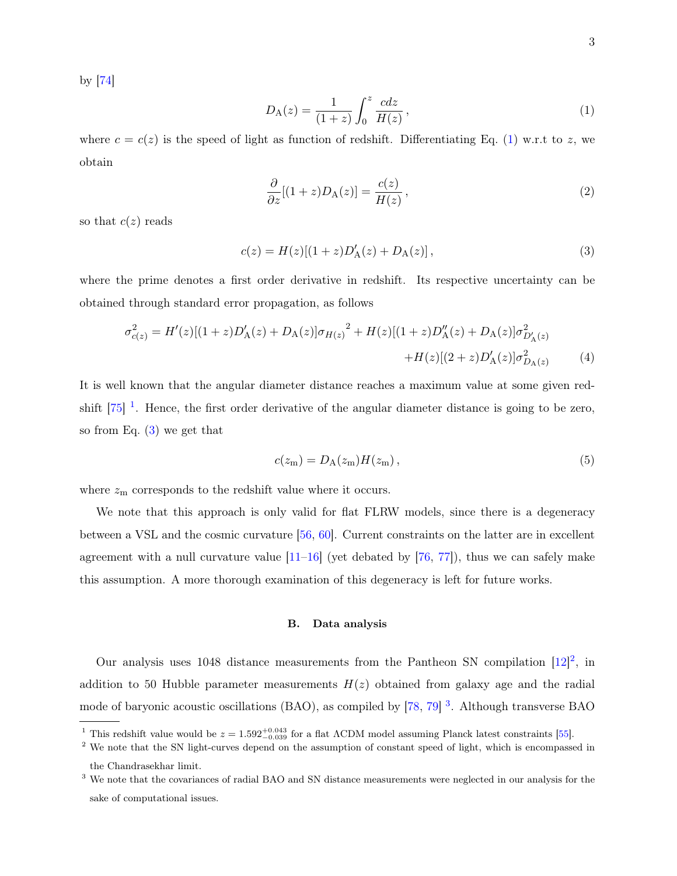by [\[74\]](#page-11-1)

<span id="page-2-0"></span>
$$
D_{A}(z) = \frac{1}{(1+z)} \int_{0}^{z} \frac{cdz}{H(z)},
$$
\n(1)

where  $c = c(z)$  is the speed of light as function of redshift. Differentiating Eq. [\(1\)](#page-2-0) w.r.t to z, we obtain

$$
\frac{\partial}{\partial z}[(1+z)D_{\rm A}(z)] = \frac{c(z)}{H(z)},\tag{2}
$$

so that  $c(z)$  reads

<span id="page-2-2"></span>
$$
c(z) = H(z)[(1+z)D'_{A}(z) + D_{A}(z)],
$$
\n(3)

where the prime denotes a first order derivative in redshift. Its respective uncertainty can be obtained through standard error propagation, as follows

<span id="page-2-5"></span>
$$
\sigma_{c(z)}^2 = H'(z)[(1+z)D'_{A}(z) + D_{A}(z)]\sigma_{H(z)}^2 + H(z)[(1+z)D''_{A}(z) + D_{A}(z)]\sigma_{D'_{A}(z)}^2 + H(z)[(2+z)D'_{A}(z)]\sigma_{D_{A}(z)}^2 \tag{4}
$$

It is well known that the angular diameter distance reaches a maximum value at some given redshift  $[75]$ <sup>[1](#page-2-1)</sup>. Hence, the first order derivative of the angular diameter distance is going to be zero, so from Eq. [\(3\)](#page-2-2) we get that

<span id="page-2-6"></span>
$$
c(z_m) = D_A(z_m)H(z_m), \qquad (5)
$$

where  $z<sub>m</sub>$  corresponds to the redshift value where it occurs.

We note that this approach is only valid for flat FLRW models, since there is a degeneracy between a VSL and the cosmic curvature [\[56,](#page-10-2) [60\]](#page-10-3). Current constraints on the latter are in excellent agreement with a null curvature value  $[11–16]$  $[11–16]$  (yet debated by  $[76, 77]$  $[76, 77]$  $[76, 77]$ ), thus we can safely make this assumption. A more thorough examination of this degeneracy is left for future works.

#### B. Data analysis

Our analysis uses 1048 distance measurements from the Pantheon SN compilation  $[12]^2$  $[12]^2$  $[12]^2$ , in addition to 50 Hubble parameter measurements  $H(z)$  obtained from galaxy age and the radial mode of baryonic acoustic oscillations (BAO), as compiled by [\[78,](#page-11-5) [79\]](#page-11-6)<sup>[3](#page-2-4)</sup>. Although transverse BAO

<span id="page-2-3"></span><span id="page-2-1"></span><sup>&</sup>lt;sup>1</sup> This redshift value would be  $z = 1.592^{+0.043}_{-0.039}$  for a flat  $\Lambda$ CDM model assuming Planck latest constraints [\[55\]](#page-10-1).

<sup>&</sup>lt;sup>2</sup> We note that the SN light-curves depend on the assumption of constant speed of light, which is encompassed in the Chandrasekhar limit.

<span id="page-2-4"></span><sup>3</sup> We note that the covariances of radial BAO and SN distance measurements were neglected in our analysis for the sake of computational issues.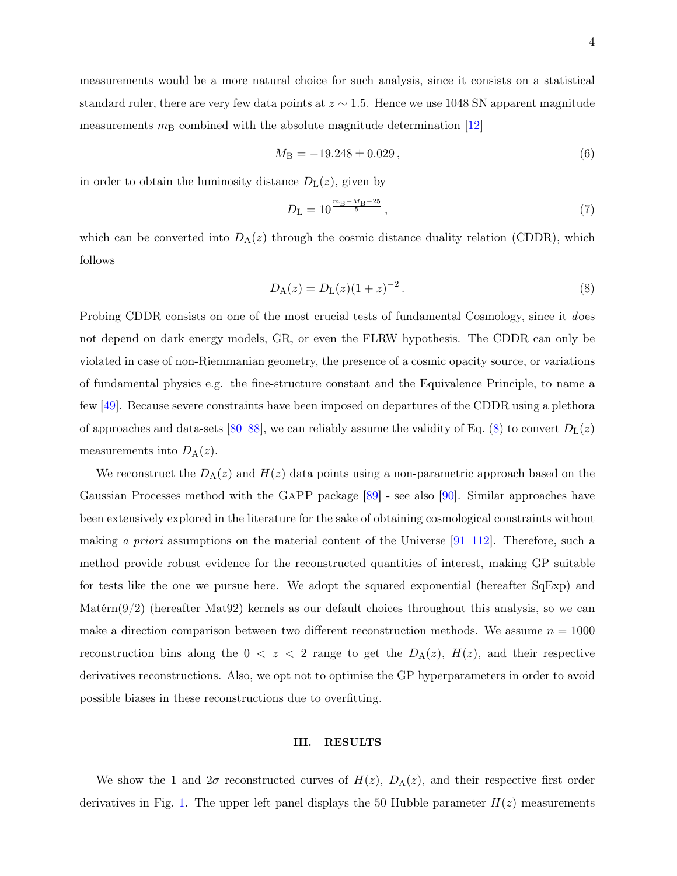measurements would be a more natural choice for such analysis, since it consists on a statistical standard ruler, there are very few data points at  $z \sim 1.5$ . Hence we use 1048 SN apparent magnitude measurements  $m<sub>B</sub>$  combined with the absolute magnitude determination [\[12\]](#page-7-7)

$$
M_{\rm B} = -19.248 \pm 0.029\,,\tag{6}
$$

in order to obtain the luminosity distance  $D_{\rm L}(z)$ , given by

$$
D_{\rm L} = 10^{\frac{m_{\rm B} - M_{\rm B} - 25}{5}}\,,\tag{7}
$$

which can be converted into  $D_A(z)$  through the cosmic distance duality relation (CDDR), which follows

<span id="page-3-0"></span>
$$
D_{\rm A}(z) = D_{\rm L}(z)(1+z)^{-2} \,. \tag{8}
$$

Probing CDDR consists on one of the most crucial tests of fundamental Cosmology, since it does not depend on dark energy models, GR, or even the FLRW hypothesis. The CDDR can only be violated in case of non-Riemmanian geometry, the presence of a cosmic opacity source, or variations of fundamental physics e.g. the fine-structure constant and the Equivalence Principle, to name a few [\[49\]](#page-9-1). Because severe constraints have been imposed on departures of the CDDR using a plethora of approaches and data-sets [\[80](#page-11-7)[–88\]](#page-12-0), we can reliably assume the validity of Eq. [\(8\)](#page-3-0) to convert  $D_{\rm L}(z)$ measurements into  $D_A(z)$ .

We reconstruct the  $D_A(z)$  and  $H(z)$  data points using a non-parametric approach based on the Gaussian Processes method with the GaPP package [\[89\]](#page-12-1) - see also [\[90\]](#page-12-2). Similar approaches have been extensively explored in the literature for the sake of obtaining cosmological constraints without making a priori assumptions on the material content of the Universe  $[91-112]$  $[91-112]$ . Therefore, such a method provide robust evidence for the reconstructed quantities of interest, making GP suitable for tests like the one we pursue here. We adopt the squared exponential (hereafter SqExp) and  $\text{Matern}(9/2)$  (hereafter Mat92) kernels as our default choices throughout this analysis, so we can make a direction comparison between two different reconstruction methods. We assume  $n = 1000$ reconstruction bins along the  $0 < z < 2$  range to get the  $D_A(z)$ ,  $H(z)$ , and their respective derivatives reconstructions. Also, we opt not to optimise the GP hyperparameters in order to avoid possible biases in these reconstructions due to overfitting.

## III. RESULTS

We show the 1 and  $2\sigma$  reconstructed curves of  $H(z)$ ,  $D_A(z)$ , and their respective first order derivatives in Fig. [1.](#page-4-0) The upper left panel displays the 50 Hubble parameter  $H(z)$  measurements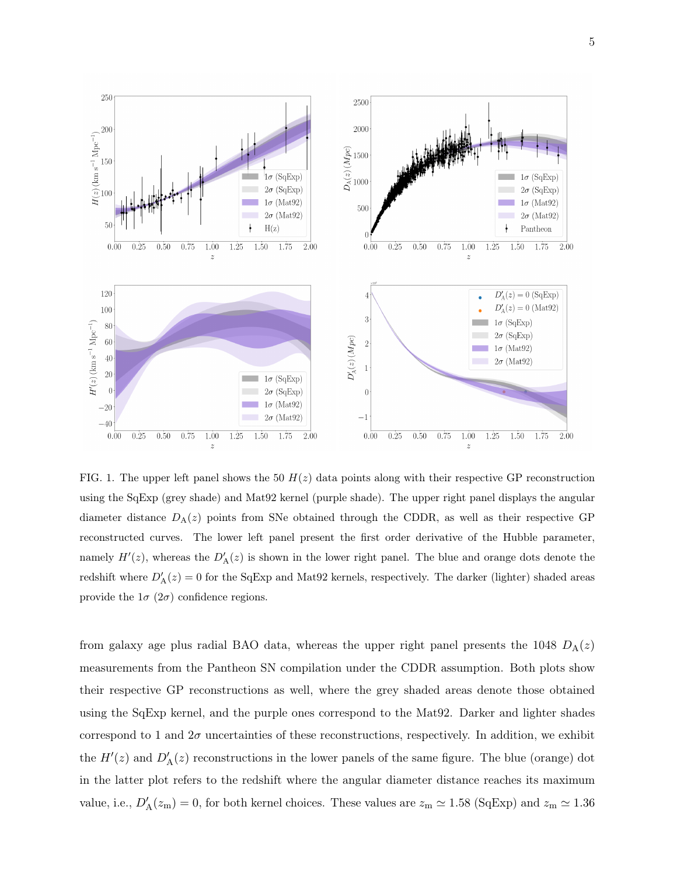

5



<span id="page-4-0"></span>FIG. 1. The upper left panel shows the 50  $H(z)$  data points along with their respective GP reconstruction using the SqExp (grey shade) and Mat92 kernel (purple shade). The upper right panel displays the angular diameter distance  $D_A(z)$  points from SNe obtained through the CDDR, as well as their respective GP reconstructed curves. The lower left panel present the first order derivative of the Hubble parameter, namely  $H'(z)$ , whereas the  $D'_{\mathcal{A}}(z)$  is shown in the lower right panel. The blue and orange dots denote the redshift where  $D'_{\mathcal{A}}(z) = 0$  for the SqExp and Mat92 kernels, respectively. The darker (lighter) shaded areas provide the  $1\sigma$  ( $2\sigma$ ) confidence regions.

from galaxy age plus radial BAO data, whereas the upper right panel presents the 1048  $D_A(z)$ measurements from the Pantheon SN compilation under the CDDR assumption. Both plots show their respective GP reconstructions as well, where the grey shaded areas denote those obtained using the SqExp kernel, and the purple ones correspond to the Mat92. Darker and lighter shades correspond to 1 and  $2\sigma$  uncertainties of these reconstructions, respectively. In addition, we exhibit the  $H'(z)$  and  $D'_{\mathcal{A}}(z)$  reconstructions in the lower panels of the same figure. The blue (orange) dot in the latter plot refers to the redshift where the angular diameter distance reaches its maximum value, i.e.,  $D'_{\rm A}(z_{\rm m})=0$ , for both kernel choices. These values are  $z_{\rm m}\simeq 1.58$  (SqExp) and  $z_{\rm m}\simeq 1.36$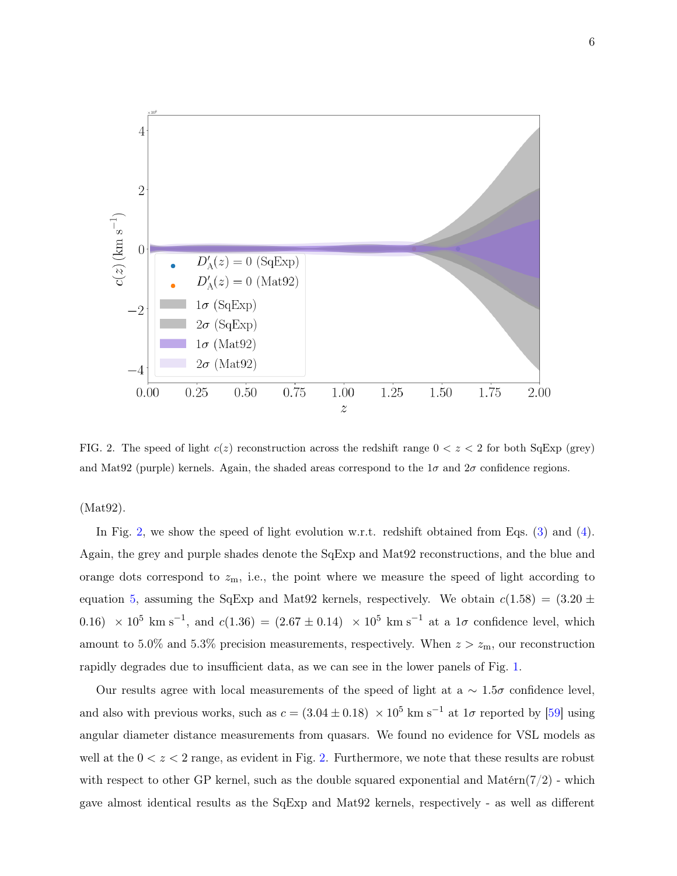

<span id="page-5-0"></span>FIG. 2. The speed of light  $c(z)$  reconstruction across the redshift range  $0 < z < 2$  for both SqExp (grey) and Mat92 (purple) kernels. Again, the shaded areas correspond to the  $1\sigma$  and  $2\sigma$  confidence regions.

(Mat92).

In Fig. [2,](#page-5-0) we show the speed of light evolution w.r.t. redshift obtained from Eqs. [\(3\)](#page-2-2) and [\(4\)](#page-2-5). Again, the grey and purple shades denote the SqExp and Mat92 reconstructions, and the blue and orange dots correspond to  $z<sub>m</sub>$ , i.e., the point where we measure the speed of light according to equation [5,](#page-2-6) assuming the SqExp and Mat92 kernels, respectively. We obtain  $c(1.58) = (3.20 \pm 1.55)$ 0.16)  $\times$  10<sup>5</sup> km s<sup>-1</sup>, and  $c(1.36) = (2.67 \pm 0.14) \times 10^5$  km s<sup>-1</sup> at a 1 $\sigma$  confidence level, which amount to 5.0% and 5.3% precision measurements, respectively. When  $z > z<sub>m</sub>$ , our reconstruction rapidly degrades due to insufficient data, as we can see in the lower panels of Fig. [1.](#page-4-0)

Our results agree with local measurements of the speed of light at a  $\sim 1.5\sigma$  confidence level, and also with previous works, such as  $c = (3.04 \pm 0.18) \times 10^5$  km s<sup>-1</sup> at  $1\sigma$  reported by [\[59\]](#page-10-4) using angular diameter distance measurements from quasars. We found no evidence for VSL models as well at the  $0 < z < 2$  range, as evident in Fig. [2.](#page-5-0) Furthermore, we note that these results are robust with respect to other GP kernel, such as the double squared exponential and Matérn( $7/2$ ) - which gave almost identical results as the SqExp and Mat92 kernels, respectively - as well as different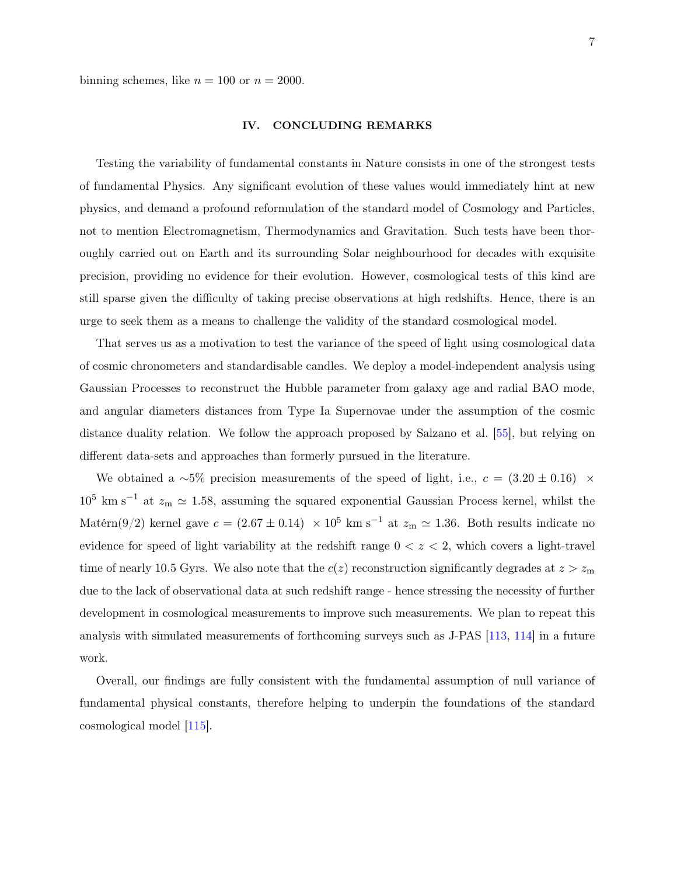binning schemes, like  $n = 100$  or  $n = 2000$ .

#### IV. CONCLUDING REMARKS

Testing the variability of fundamental constants in Nature consists in one of the strongest tests of fundamental Physics. Any significant evolution of these values would immediately hint at new physics, and demand a profound reformulation of the standard model of Cosmology and Particles, not to mention Electromagnetism, Thermodynamics and Gravitation. Such tests have been thoroughly carried out on Earth and its surrounding Solar neighbourhood for decades with exquisite precision, providing no evidence for their evolution. However, cosmological tests of this kind are still sparse given the difficulty of taking precise observations at high redshifts. Hence, there is an urge to seek them as a means to challenge the validity of the standard cosmological model.

That serves us as a motivation to test the variance of the speed of light using cosmological data of cosmic chronometers and standardisable candles. We deploy a model-independent analysis using Gaussian Processes to reconstruct the Hubble parameter from galaxy age and radial BAO mode, and angular diameters distances from Type Ia Supernovae under the assumption of the cosmic distance duality relation. We follow the approach proposed by Salzano et al. [\[55\]](#page-10-1), but relying on different data-sets and approaches than formerly pursued in the literature.

We obtained a ∼5% precision measurements of the speed of light, i.e.,  $c = (3.20 \pm 0.16)$  ×  $10^5$  km s<sup>-1</sup> at  $z_m \simeq 1.58$ , assuming the squared exponential Gaussian Process kernel, whilst the Matérn(9/2) kernel gave  $c = (2.67 \pm 0.14) \times 10^5$  km s<sup>-1</sup> at  $z_m \simeq 1.36$ . Both results indicate no evidence for speed of light variability at the redshift range  $0 < z < 2$ , which covers a light-travel time of nearly 10.5 Gyrs. We also note that the  $c(z)$  reconstruction significantly degrades at  $z > z<sub>m</sub>$ due to the lack of observational data at such redshift range - hence stressing the necessity of further development in cosmological measurements to improve such measurements. We plan to repeat this analysis with simulated measurements of forthcoming surveys such as J-PAS [\[113,](#page-13-1) [114\]](#page-13-2) in a future work.

Overall, our findings are fully consistent with the fundamental assumption of null variance of fundamental physical constants, therefore helping to underpin the foundations of the standard cosmological model [\[115\]](#page-13-3).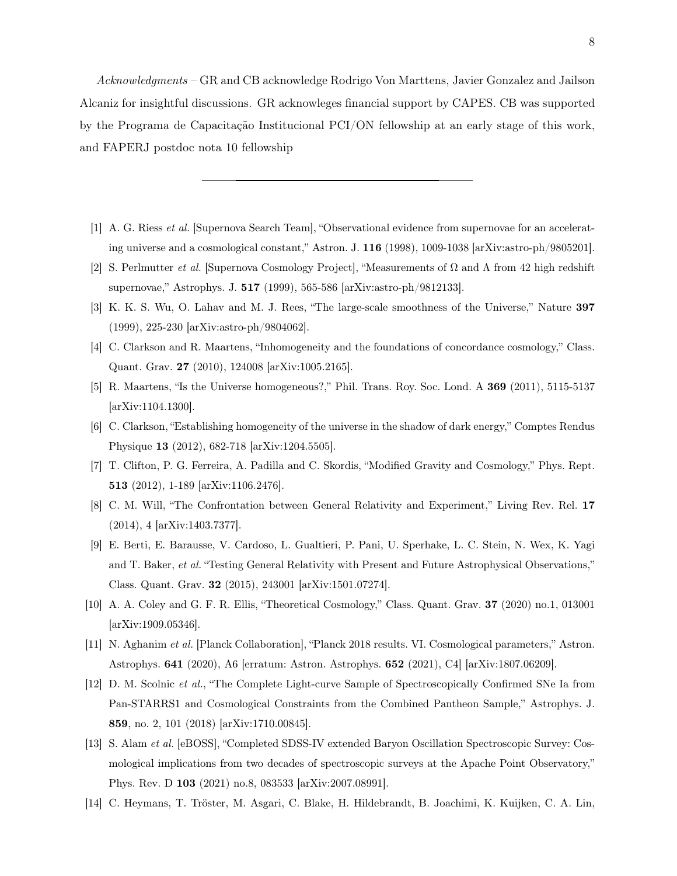Acknowledgments – GR and CB acknowledge Rodrigo Von Marttens, Javier Gonzalez and Jailson Alcaniz for insightful discussions. GR acknowleges financial support by CAPES. CB was supported by the Programa de Capacitação Institucional PCI/ON fellowship at an early stage of this work, and FAPERJ postdoc nota 10 fellowship

- <span id="page-7-0"></span>[1] A. G. Riess et al. [Supernova Search Team], "Observational evidence from supernovae for an accelerating universe and a cosmological constant," Astron. J. 116 (1998), 1009-1038 [arXiv:astro-ph/9805201].
- <span id="page-7-1"></span>[2] S. Perlmutter *et al.* [Supernova Cosmology Project], "Measurements of  $\Omega$  and  $\Lambda$  from 42 high redshift supernovae," Astrophys. J. 517 (1999), 565-586 [arXiv:astro-ph/9812133].
- <span id="page-7-2"></span>[3] K. K. S. Wu, O. Lahav and M. J. Rees, "The large-scale smoothness of the Universe," Nature 397 (1999), 225-230 [arXiv:astro-ph/9804062].
- [4] C. Clarkson and R. Maartens, "Inhomogeneity and the foundations of concordance cosmology," Class. Quant. Grav. 27 (2010), 124008 [arXiv:1005.2165].
- [5] R. Maartens, "Is the Universe homogeneous?," Phil. Trans. Roy. Soc. Lond. A 369 (2011), 5115-5137 [arXiv:1104.1300].
- <span id="page-7-3"></span>[6] C. Clarkson, "Establishing homogeneity of the universe in the shadow of dark energy," Comptes Rendus Physique 13 (2012), 682-718 [arXiv:1204.5505].
- <span id="page-7-4"></span>[7] T. Clifton, P. G. Ferreira, A. Padilla and C. Skordis, "Modified Gravity and Cosmology," Phys. Rept. 513 (2012), 1-189 [arXiv:1106.2476].
- [8] C. M. Will, "The Confrontation between General Relativity and Experiment," Living Rev. Rel. 17 (2014), 4 [arXiv:1403.7377].
- [9] E. Berti, E. Barausse, V. Cardoso, L. Gualtieri, P. Pani, U. Sperhake, L. C. Stein, N. Wex, K. Yagi and T. Baker, et al. "Testing General Relativity with Present and Future Astrophysical Observations," Class. Quant. Grav. 32 (2015), 243001 [arXiv:1501.07274].
- <span id="page-7-5"></span>[10] A. A. Coley and G. F. R. Ellis, "Theoretical Cosmology," Class. Quant. Grav. 37 (2020) no.1, 013001 [arXiv:1909.05346].
- <span id="page-7-6"></span>[11] N. Aghanim et al. [Planck Collaboration], "Planck 2018 results. VI. Cosmological parameters," Astron. Astrophys. 641 (2020), A6 [erratum: Astron. Astrophys. 652 (2021), C4] [arXiv:1807.06209].
- <span id="page-7-7"></span>[12] D. M. Scolnic et al., "The Complete Light-curve Sample of Spectroscopically Confirmed SNe Ia from Pan-STARRS1 and Cosmological Constraints from the Combined Pantheon Sample," Astrophys. J. 859, no. 2, 101 (2018) [arXiv:1710.00845].
- <span id="page-7-8"></span>[13] S. Alam et al. [eBOSS], "Completed SDSS-IV extended Baryon Oscillation Spectroscopic Survey: Cosmological implications from two decades of spectroscopic surveys at the Apache Point Observatory," Phys. Rev. D 103 (2021) no.8, 083533 [arXiv:2007.08991].
- [14] C. Heymans, T. Tröster, M. Asgari, C. Blake, H. Hildebrandt, B. Joachimi, K. Kuijken, C. A. Lin,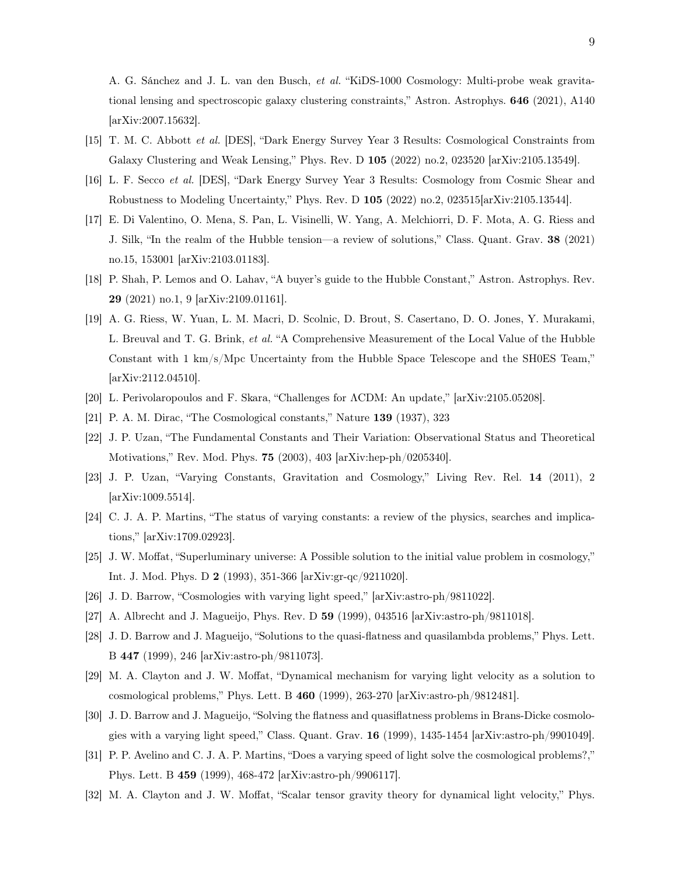A. G. Sánchez and J. L. van den Busch, et al. "KiDS-1000 Cosmology: Multi-probe weak gravitational lensing and spectroscopic galaxy clustering constraints," Astron. Astrophys. 646 (2021), A140 [arXiv:2007.15632].

- [15] T. M. C. Abbott et al. [DES], "Dark Energy Survey Year 3 Results: Cosmological Constraints from Galaxy Clustering and Weak Lensing," Phys. Rev. D 105 (2022) no.2, 023520 [arXiv:2105.13549].
- <span id="page-8-0"></span>[16] L. F. Secco et al. [DES], "Dark Energy Survey Year 3 Results: Cosmology from Cosmic Shear and Robustness to Modeling Uncertainty," Phys. Rev. D 105 (2022) no.2, 023515[arXiv:2105.13544].
- <span id="page-8-1"></span>[17] E. Di Valentino, O. Mena, S. Pan, L. Visinelli, W. Yang, A. Melchiorri, D. F. Mota, A. G. Riess and J. Silk, "In the realm of the Hubble tension—a review of solutions," Class. Quant. Grav. 38 (2021) no.15, 153001 [arXiv:2103.01183].
- [18] P. Shah, P. Lemos and O. Lahav, "A buyer's guide to the Hubble Constant," Astron. Astrophys. Rev. 29 (2021) no.1, 9 [arXiv:2109.01161].
- <span id="page-8-2"></span>[19] A. G. Riess, W. Yuan, L. M. Macri, D. Scolnic, D. Brout, S. Casertano, D. O. Jones, Y. Murakami, L. Breuval and T. G. Brink, et al. "A Comprehensive Measurement of the Local Value of the Hubble Constant with 1 km/s/Mpc Uncertainty from the Hubble Space Telescope and the SH0ES Team," [arXiv:2112.04510].
- <span id="page-8-4"></span><span id="page-8-3"></span>[20] L. Perivolaropoulos and F. Skara, "Challenges for ΛCDM: An update," [arXiv:2105.05208].
- [21] P. A. M. Dirac, "The Cosmological constants," Nature 139 (1937), 323
- [22] J. P. Uzan, "The Fundamental Constants and Their Variation: Observational Status and Theoretical Motivations," Rev. Mod. Phys. 75 (2003), 403 [arXiv:hep-ph/0205340].
- [23] J. P. Uzan, "Varying Constants, Gravitation and Cosmology," Living Rev. Rel. 14 (2011), 2 [arXiv:1009.5514].
- <span id="page-8-5"></span>[24] C. J. A. P. Martins, "The status of varying constants: a review of the physics, searches and implications," [arXiv:1709.02923].
- <span id="page-8-6"></span>[25] J. W. Moffat, "Superluminary universe: A Possible solution to the initial value problem in cosmology," Int. J. Mod. Phys. D 2 (1993), 351-366 [arXiv:gr-qc/9211020].
- [26] J. D. Barrow, "Cosmologies with varying light speed," [arXiv:astro-ph/9811022].
- [27] A. Albrecht and J. Magueijo, Phys. Rev. D 59 (1999), 043516 [arXiv:astro-ph/9811018].
- [28] J. D. Barrow and J. Magueijo, "Solutions to the quasi-flatness and quasilambda problems," Phys. Lett. B 447 (1999), 246 [arXiv:astro-ph/9811073].
- [29] M. A. Clayton and J. W. Moffat, "Dynamical mechanism for varying light velocity as a solution to cosmological problems," Phys. Lett. B 460 (1999), 263-270 [arXiv:astro-ph/9812481].
- [30] J. D. Barrow and J. Magueijo, "Solving the flatness and quasiflatness problems in Brans-Dicke cosmologies with a varying light speed," Class. Quant. Grav. 16 (1999), 1435-1454 [arXiv:astro-ph/9901049].
- [31] P. P. Avelino and C. J. A. P. Martins, "Does a varying speed of light solve the cosmological problems?," Phys. Lett. B 459 (1999), 468-472 [arXiv:astro-ph/9906117].
- [32] M. A. Clayton and J. W. Moffat, "Scalar tensor gravity theory for dynamical light velocity," Phys.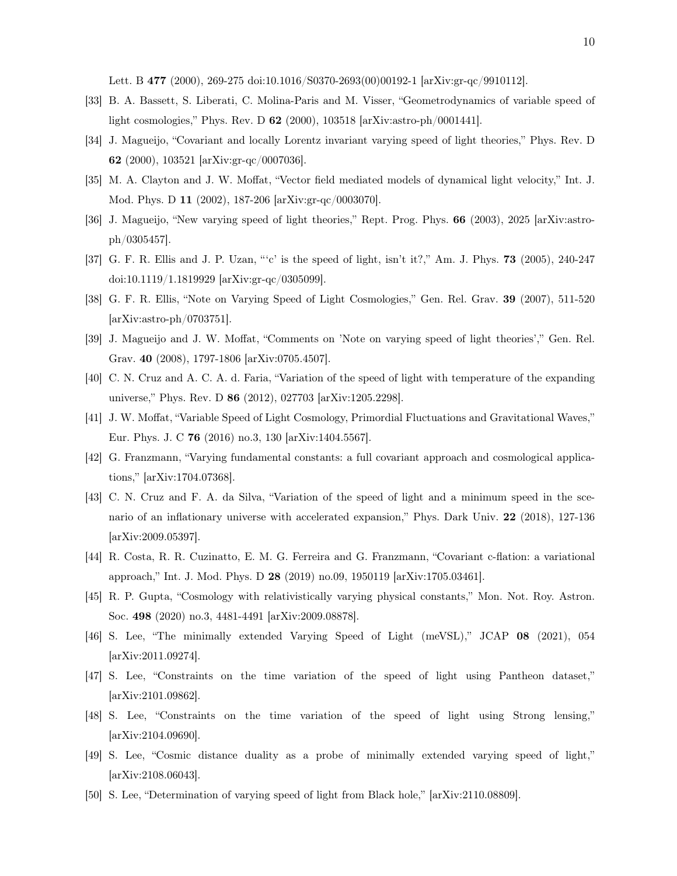Lett. B 477 (2000), 269-275 doi:10.1016/S0370-2693(00)00192-1 [arXiv:gr-qc/9910112].

- [33] B. A. Bassett, S. Liberati, C. Molina-Paris and M. Visser, "Geometrodynamics of variable speed of light cosmologies," Phys. Rev. D 62 (2000), 103518 [arXiv:astro-ph/0001441].
- [34] J. Magueijo, "Covariant and locally Lorentz invariant varying speed of light theories," Phys. Rev. D 62 (2000), 103521 [arXiv:gr-qc/0007036].
- [35] M. A. Clayton and J. W. Moffat, "Vector field mediated models of dynamical light velocity," Int. J. Mod. Phys. D 11 (2002), 187-206 [arXiv:gr-qc/0003070].
- [36] J. Magueijo, "New varying speed of light theories," Rept. Prog. Phys. 66 (2003), 2025 [arXiv:astroph/0305457].
- [37] G. F. R. Ellis and J. P. Uzan, "'c' is the speed of light, isn't it?," Am. J. Phys. 73 (2005), 240-247 doi:10.1119/1.1819929 [arXiv:gr-qc/0305099].
- [38] G. F. R. Ellis, "Note on Varying Speed of Light Cosmologies," Gen. Rel. Grav. 39 (2007), 511-520 [arXiv:astro-ph/0703751].
- [39] J. Magueijo and J. W. Moffat, "Comments on 'Note on varying speed of light theories'," Gen. Rel. Grav. 40 (2008), 1797-1806 [arXiv:0705.4507].
- [40] C. N. Cruz and A. C. A. d. Faria, "Variation of the speed of light with temperature of the expanding universe," Phys. Rev. D 86 (2012), 027703 [arXiv:1205.2298].
- [41] J. W. Moffat, "Variable Speed of Light Cosmology, Primordial Fluctuations and Gravitational Waves," Eur. Phys. J. C 76 (2016) no.3, 130 [arXiv:1404.5567].
- [42] G. Franzmann, "Varying fundamental constants: a full covariant approach and cosmological applications," [arXiv:1704.07368].
- [43] C. N. Cruz and F. A. da Silva, "Variation of the speed of light and a minimum speed in the scenario of an inflationary universe with accelerated expansion," Phys. Dark Univ. 22 (2018), 127-136 [arXiv:2009.05397].
- [44] R. Costa, R. R. Cuzinatto, E. M. G. Ferreira and G. Franzmann, "Covariant c-flation: a variational approach," Int. J. Mod. Phys. D 28 (2019) no.09, 1950119 [arXiv:1705.03461].
- [45] R. P. Gupta, "Cosmology with relativistically varying physical constants," Mon. Not. Roy. Astron. Soc. 498 (2020) no.3, 4481-4491 [arXiv:2009.08878].
- [46] S. Lee, "The minimally extended Varying Speed of Light (meVSL)," JCAP 08 (2021), 054 [arXiv:2011.09274].
- [47] S. Lee, "Constraints on the time variation of the speed of light using Pantheon dataset," [arXiv:2101.09862].
- [48] S. Lee, "Constraints on the time variation of the speed of light using Strong lensing," [arXiv:2104.09690].
- <span id="page-9-1"></span>[49] S. Lee, "Cosmic distance duality as a probe of minimally extended varying speed of light," [arXiv:2108.06043].
- <span id="page-9-0"></span>[50] S. Lee, "Determination of varying speed of light from Black hole," [arXiv:2110.08809].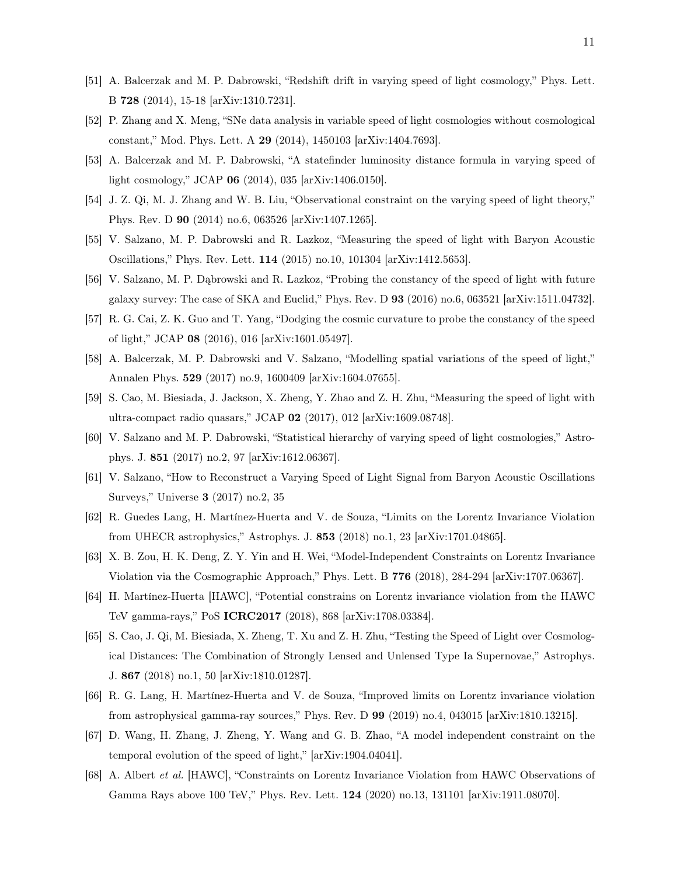- <span id="page-10-0"></span>[51] A. Balcerzak and M. P. Dabrowski, "Redshift drift in varying speed of light cosmology," Phys. Lett. B 728 (2014), 15-18 [arXiv:1310.7231].
- [52] P. Zhang and X. Meng, "SNe data analysis in variable speed of light cosmologies without cosmological constant," Mod. Phys. Lett. A 29 (2014), 1450103 [arXiv:1404.7693].
- [53] A. Balcerzak and M. P. Dabrowski, "A statefinder luminosity distance formula in varying speed of light cosmology," JCAP 06 (2014), 035 [arXiv:1406.0150].
- [54] J. Z. Qi, M. J. Zhang and W. B. Liu, "Observational constraint on the varying speed of light theory," Phys. Rev. D 90 (2014) no.6, 063526 [arXiv:1407.1265].
- <span id="page-10-1"></span>[55] V. Salzano, M. P. Dabrowski and R. Lazkoz, "Measuring the speed of light with Baryon Acoustic Oscillations," Phys. Rev. Lett. 114 (2015) no.10, 101304 [arXiv:1412.5653].
- <span id="page-10-2"></span>[56] V. Salzano, M. P. Dąbrowski and R. Lazkoz, "Probing the constancy of the speed of light with future galaxy survey: The case of SKA and Euclid," Phys. Rev. D 93 (2016) no.6, 063521 [arXiv:1511.04732].
- [57] R. G. Cai, Z. K. Guo and T. Yang, "Dodging the cosmic curvature to probe the constancy of the speed of light," JCAP 08 (2016), 016 [arXiv:1601.05497].
- [58] A. Balcerzak, M. P. Dabrowski and V. Salzano, "Modelling spatial variations of the speed of light," Annalen Phys. 529 (2017) no.9, 1600409 [arXiv:1604.07655].
- <span id="page-10-4"></span>[59] S. Cao, M. Biesiada, J. Jackson, X. Zheng, Y. Zhao and Z. H. Zhu, "Measuring the speed of light with ultra-compact radio quasars," JCAP 02 (2017), 012 [arXiv:1609.08748].
- <span id="page-10-3"></span>[60] V. Salzano and M. P. Dabrowski, "Statistical hierarchy of varying speed of light cosmologies," Astrophys. J. 851 (2017) no.2, 97 [arXiv:1612.06367].
- [61] V. Salzano, "How to Reconstruct a Varying Speed of Light Signal from Baryon Acoustic Oscillations Surveys," Universe 3 (2017) no.2, 35
- [62] R. Guedes Lang, H. Martínez-Huerta and V. de Souza, "Limits on the Lorentz Invariance Violation from UHECR astrophysics," Astrophys. J. 853 (2018) no.1, 23 [arXiv:1701.04865].
- [63] X. B. Zou, H. K. Deng, Z. Y. Yin and H. Wei, "Model-Independent Constraints on Lorentz Invariance Violation via the Cosmographic Approach," Phys. Lett. B 776 (2018), 284-294 [arXiv:1707.06367].
- [64] H. Martínez-Huerta [HAWC], "Potential constrains on Lorentz invariance violation from the HAWC TeV gamma-rays," PoS ICRC2017 (2018), 868 [arXiv:1708.03384].
- [65] S. Cao, J. Qi, M. Biesiada, X. Zheng, T. Xu and Z. H. Zhu, "Testing the Speed of Light over Cosmological Distances: The Combination of Strongly Lensed and Unlensed Type Ia Supernovae," Astrophys. J. 867 (2018) no.1, 50 [arXiv:1810.01287].
- [66] R. G. Lang, H. Martínez-Huerta and V. de Souza, "Improved limits on Lorentz invariance violation from astrophysical gamma-ray sources," Phys. Rev. D 99 (2019) no.4, 043015 [arXiv:1810.13215].
- [67] D. Wang, H. Zhang, J. Zheng, Y. Wang and G. B. Zhao, "A model independent constraint on the temporal evolution of the speed of light," [arXiv:1904.04041].
- [68] A. Albert et al. [HAWC], "Constraints on Lorentz Invariance Violation from HAWC Observations of Gamma Rays above 100 TeV," Phys. Rev. Lett. 124 (2020) no.13, 131101 [arXiv:1911.08070].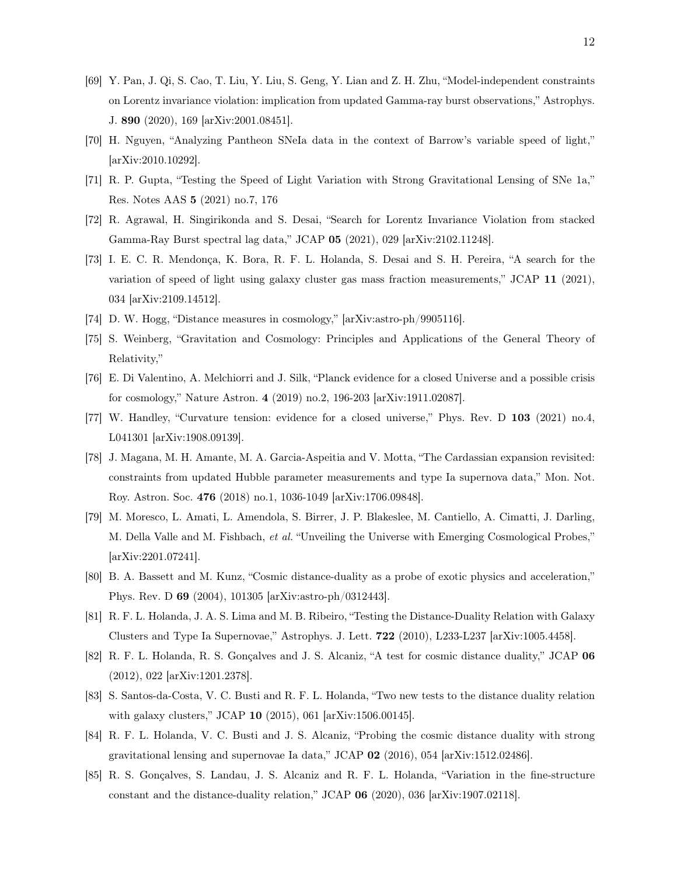- [69] Y. Pan, J. Qi, S. Cao, T. Liu, Y. Liu, S. Geng, Y. Lian and Z. H. Zhu, "Model-independent constraints on Lorentz invariance violation: implication from updated Gamma-ray burst observations," Astrophys. J. 890 (2020), 169 [arXiv:2001.08451].
- [70] H. Nguyen, "Analyzing Pantheon SNeIa data in the context of Barrow's variable speed of light," [arXiv:2010.10292].
- [71] R. P. Gupta, "Testing the Speed of Light Variation with Strong Gravitational Lensing of SNe 1a," Res. Notes AAS 5 (2021) no.7, 176
- [72] R. Agrawal, H. Singirikonda and S. Desai, "Search for Lorentz Invariance Violation from stacked Gamma-Ray Burst spectral lag data," JCAP 05 (2021), 029 [arXiv:2102.11248].
- <span id="page-11-0"></span>[73] I. E. C. R. Mendonça, K. Bora, R. F. L. Holanda, S. Desai and S. H. Pereira, "A search for the variation of speed of light using galaxy cluster gas mass fraction measurements," JCAP 11 (2021), 034 [arXiv:2109.14512].
- <span id="page-11-2"></span><span id="page-11-1"></span>[74] D. W. Hogg, "Distance measures in cosmology," [arXiv:astro-ph/9905116].
- [75] S. Weinberg, "Gravitation and Cosmology: Principles and Applications of the General Theory of Relativity,"
- <span id="page-11-3"></span>[76] E. Di Valentino, A. Melchiorri and J. Silk, "Planck evidence for a closed Universe and a possible crisis for cosmology," Nature Astron. 4 (2019) no.2, 196-203 [arXiv:1911.02087].
- <span id="page-11-4"></span>[77] W. Handley, "Curvature tension: evidence for a closed universe," Phys. Rev. D 103 (2021) no.4, L041301 [arXiv:1908.09139].
- <span id="page-11-5"></span>[78] J. Magana, M. H. Amante, M. A. Garcia-Aspeitia and V. Motta, "The Cardassian expansion revisited: constraints from updated Hubble parameter measurements and type Ia supernova data," Mon. Not. Roy. Astron. Soc. 476 (2018) no.1, 1036-1049 [arXiv:1706.09848].
- <span id="page-11-6"></span>[79] M. Moresco, L. Amati, L. Amendola, S. Birrer, J. P. Blakeslee, M. Cantiello, A. Cimatti, J. Darling, M. Della Valle and M. Fishbach, et al. "Unveiling the Universe with Emerging Cosmological Probes," [arXiv:2201.07241].
- <span id="page-11-7"></span>[80] B. A. Bassett and M. Kunz, "Cosmic distance-duality as a probe of exotic physics and acceleration," Phys. Rev. D 69 (2004), 101305 [arXiv:astro-ph/0312443].
- [81] R. F. L. Holanda, J. A. S. Lima and M. B. Ribeiro, "Testing the Distance-Duality Relation with Galaxy Clusters and Type Ia Supernovae," Astrophys. J. Lett. 722 (2010), L233-L237 [arXiv:1005.4458].
- [82] R. F. L. Holanda, R. S. Gonçalves and J. S. Alcaniz, "A test for cosmic distance duality," JCAP 06 (2012), 022 [arXiv:1201.2378].
- [83] S. Santos-da-Costa, V. C. Busti and R. F. L. Holanda, "Two new tests to the distance duality relation with galaxy clusters," JCAP 10 (2015), 061 [arXiv:1506.00145].
- [84] R. F. L. Holanda, V. C. Busti and J. S. Alcaniz, "Probing the cosmic distance duality with strong gravitational lensing and supernovae Ia data," JCAP 02 (2016), 054 [arXiv:1512.02486].
- [85] R. S. Gonçalves, S. Landau, J. S. Alcaniz and R. F. L. Holanda, "Variation in the fine-structure constant and the distance-duality relation," JCAP 06 (2020), 036 [arXiv:1907.02118].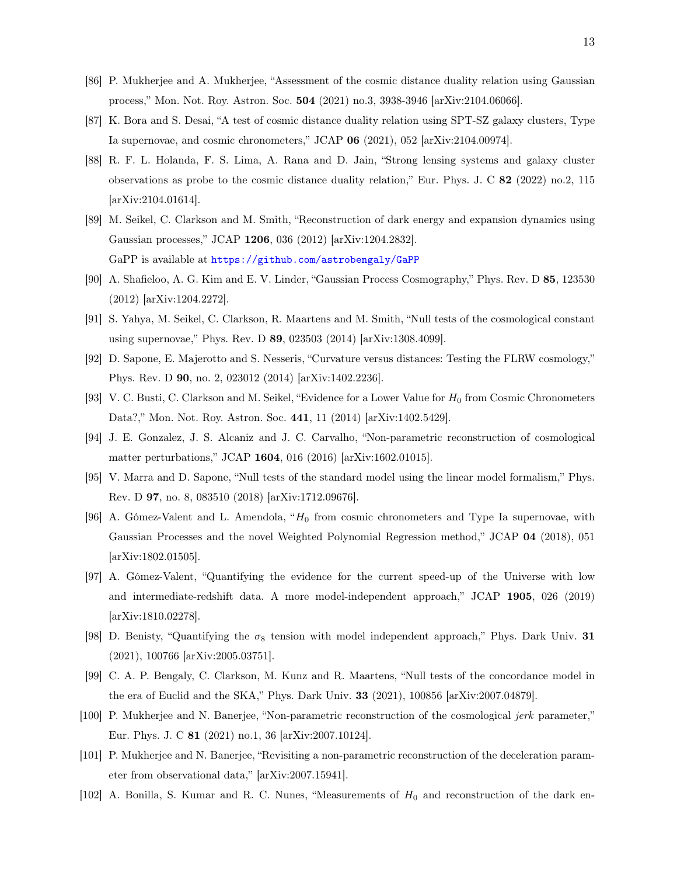- [86] P. Mukherjee and A. Mukherjee, "Assessment of the cosmic distance duality relation using Gaussian process," Mon. Not. Roy. Astron. Soc. 504 (2021) no.3, 3938-3946 [arXiv:2104.06066].
- [87] K. Bora and S. Desai, "A test of cosmic distance duality relation using SPT-SZ galaxy clusters, Type Ia supernovae, and cosmic chronometers," JCAP 06 (2021), 052 [arXiv:2104.00974].
- <span id="page-12-0"></span>[88] R. F. L. Holanda, F. S. Lima, A. Rana and D. Jain, "Strong lensing systems and galaxy cluster observations as probe to the cosmic distance duality relation," Eur. Phys. J. C 82 (2022) no.2, 115 [arXiv:2104.01614].
- <span id="page-12-1"></span>[89] M. Seikel, C. Clarkson and M. Smith, "Reconstruction of dark energy and expansion dynamics using Gaussian processes," JCAP 1206, 036 (2012) [arXiv:1204.2832]. GaPP is available at <https://github.com/astrobengaly/GaPP>
- <span id="page-12-2"></span>[90] A. Shafieloo, A. G. Kim and E. V. Linder, "Gaussian Process Cosmography," Phys. Rev. D 85, 123530 (2012) [arXiv:1204.2272].
- <span id="page-12-3"></span>[91] S. Yahya, M. Seikel, C. Clarkson, R. Maartens and M. Smith, "Null tests of the cosmological constant using supernovae," Phys. Rev. D 89, 023503 (2014) [arXiv:1308.4099].
- [92] D. Sapone, E. Majerotto and S. Nesseris, "Curvature versus distances: Testing the FLRW cosmology," Phys. Rev. D 90, no. 2, 023012 (2014) [arXiv:1402.2236].
- [93] V. C. Busti, C. Clarkson and M. Seikel, "Evidence for a Lower Value for  $H_0$  from Cosmic Chronometers Data?," Mon. Not. Roy. Astron. Soc. 441, 11 (2014) [arXiv:1402.5429].
- [94] J. E. Gonzalez, J. S. Alcaniz and J. C. Carvalho, "Non-parametric reconstruction of cosmological matter perturbations," JCAP 1604, 016 (2016) [arXiv:1602.01015].
- [95] V. Marra and D. Sapone, "Null tests of the standard model using the linear model formalism," Phys. Rev. D 97, no. 8, 083510 (2018) [arXiv:1712.09676].
- [96] A. Gómez-Valent and L. Amendola, " $H_0$  from cosmic chronometers and Type Ia supernovae, with Gaussian Processes and the novel Weighted Polynomial Regression method," JCAP 04 (2018), 051 [arXiv:1802.01505].
- [97] A. Gómez-Valent, "Quantifying the evidence for the current speed-up of the Universe with low and intermediate-redshift data. A more model-independent approach," JCAP 1905, 026 (2019) [arXiv:1810.02278].
- [98] D. Benisty, "Quantifying the  $\sigma_8$  tension with model independent approach," Phys. Dark Univ. 31 (2021), 100766 [arXiv:2005.03751].
- [99] C. A. P. Bengaly, C. Clarkson, M. Kunz and R. Maartens, "Null tests of the concordance model in the era of Euclid and the SKA," Phys. Dark Univ. 33 (2021), 100856 [arXiv:2007.04879].
- [100] P. Mukherjee and N. Banerjee, "Non-parametric reconstruction of the cosmological jerk parameter," Eur. Phys. J. C 81 (2021) no.1, 36 [arXiv:2007.10124].
- [101] P. Mukherjee and N. Banerjee, "Revisiting a non-parametric reconstruction of the deceleration parameter from observational data," [arXiv:2007.15941].
- [102] A. Bonilla, S. Kumar and R. C. Nunes, "Measurements of  $H_0$  and reconstruction of the dark en-